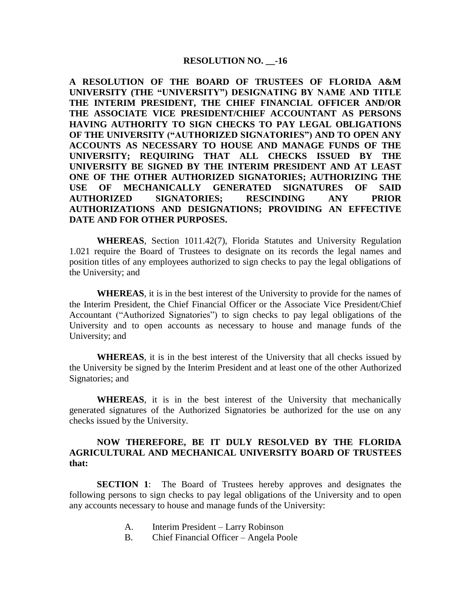## **RESOLUTION NO. \_\_-16**

**A RESOLUTION OF THE BOARD OF TRUSTEES OF FLORIDA A&M UNIVERSITY (THE "UNIVERSITY") DESIGNATING BY NAME AND TITLE THE INTERIM PRESIDENT, THE CHIEF FINANCIAL OFFICER AND/OR THE ASSOCIATE VICE PRESIDENT/CHIEF ACCOUNTANT AS PERSONS HAVING AUTHORITY TO SIGN CHECKS TO PAY LEGAL OBLIGATIONS OF THE UNIVERSITY ("AUTHORIZED SIGNATORIES") AND TO OPEN ANY ACCOUNTS AS NECESSARY TO HOUSE AND MANAGE FUNDS OF THE UNIVERSITY; REQUIRING THAT ALL CHECKS ISSUED BY THE UNIVERSITY BE SIGNED BY THE INTERIM PRESIDENT AND AT LEAST ONE OF THE OTHER AUTHORIZED SIGNATORIES; AUTHORIZING THE USE OF MECHANICALLY GENERATED SIGNATURES OF SAID AUTHORIZED SIGNATORIES; RESCINDING ANY PRIOR AUTHORIZATIONS AND DESIGNATIONS; PROVIDING AN EFFECTIVE DATE AND FOR OTHER PURPOSES.**

**WHEREAS**, Section 1011.42(7), Florida Statutes and University Regulation 1.021 require the Board of Trustees to designate on its records the legal names and position titles of any employees authorized to sign checks to pay the legal obligations of the University; and

**WHEREAS**, it is in the best interest of the University to provide for the names of the Interim President, the Chief Financial Officer or the Associate Vice President/Chief Accountant ("Authorized Signatories") to sign checks to pay legal obligations of the University and to open accounts as necessary to house and manage funds of the University; and

**WHEREAS**, it is in the best interest of the University that all checks issued by the University be signed by the Interim President and at least one of the other Authorized Signatories; and

**WHEREAS**, it is in the best interest of the University that mechanically generated signatures of the Authorized Signatories be authorized for the use on any checks issued by the University.

## **NOW THEREFORE, BE IT DULY RESOLVED BY THE FLORIDA AGRICULTURAL AND MECHANICAL UNIVERSITY BOARD OF TRUSTEES that:**

**SECTION 1**: The Board of Trustees hereby approves and designates the following persons to sign checks to pay legal obligations of the University and to open any accounts necessary to house and manage funds of the University:

- A. Interim President Larry Robinson
- B. Chief Financial Officer Angela Poole